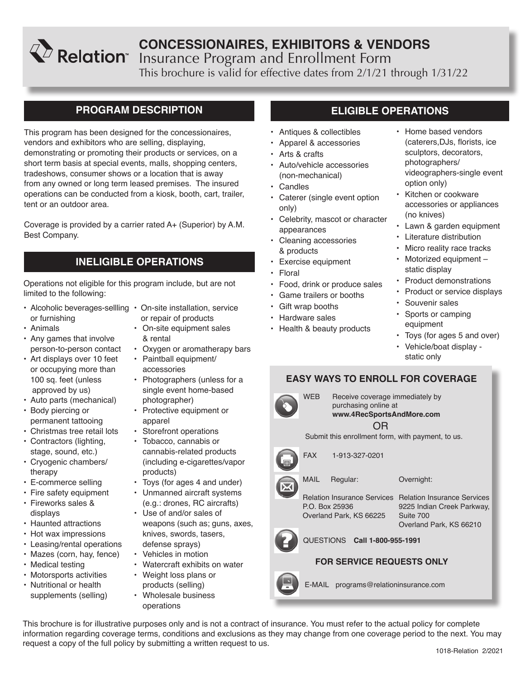# **CONCESSIONAIRES, EXHIBITORS & VENDORS** Insurance Program and Enrollment Form This brochure is valid for effective dates from 2/1/21 through 1/31/22

## **PROGRAM DESCRIPTION**

This program has been designed for the concessionaires, vendors and exhibitors who are selling, displaying, demonstrating or promoting their products or services, on a short term basis at special events, malls, shopping centers, tradeshows, consumer shows or a location that is away from any owned or long term leased premises. The insured operations can be conducted from a kiosk, booth, cart, trailer, tent or an outdoor area.

Coverage is provided by a carrier rated A+ (Superior) by A.M. Best Company.

## **INELIGIBLE OPERATIONS**

Operations not eligible for this program include, but are not limited to the following:

- Alcoholic beverages-sellling On-site installation, service or furnishing
- Animals
- Any games that involve person-to-person contact
- Art displays over 10 feet or occupying more than 100 sq. feet (unless approved by us)
- Auto parts (mechanical)
- Body piercing or permanent tattooing
- Christmas tree retail lots
- Contractors (lighting, stage, sound, etc.)
- Cryogenic chambers/ therapy
- E-commerce selling
- Fire safety equipment • Fireworks sales &
- displays
- Haunted attractions
- Hot wax impressions
- Leasing/rental operations
- Mazes (corn, hay, fence)
- Medical testing
- Motorsports activities • Nutritional or health
- supplements (selling)
- or repair of products
- On-site equipment sales & rental
- Oxygen or aromatherapy bars
- Paintball equipment/ accessories
- Photographers (unless for a single event home-based photographer)
- Protective equipment or apparel
- Storefront operations
- Tobacco, cannabis or cannabis-related products (including e-cigarettes/vapor products)
- Toys (for ages 4 and under) • Unmanned aircraft systems (e.g.: drones, RC aircrafts)
- Use of and/or sales of weapons (such as; guns, axes, knives, swords, tasers, defense sprays)
- Vehicles in motion
- Watercraft exhibits on water
- Weight loss plans or products (selling) • Wholesale business
- operations

# **ELIGIBLE OPERATIONS**

- Antiques & collectibles
- Apparel & accessories
- Arts & crafts
- Auto/vehicle accessories (non-mechanical)
- Candles
- Caterer (single event option only)
- Celebrity, mascot or character appearances
- Cleaning accessories & products
- Exercise equipment
- Floral
- Food, drink or produce sales
- Game trailers or booths
- Gift wrap booths
- Hardware sales
- Health & beauty products
- Home based vendors (caterers,DJs, florists, ice sculptors, decorators, photographers/ videographers-single event option only)
- Kitchen or cookware accessories or appliances (no knives)
- Lawn & garden equipment
- Literature distribution
- Micro reality race tracks
- Motorized equipment static display
- Product demonstrations
- Product or service displays
- Souvenir sales
- Sports or camping equipment
- Toys (for ages 5 and over)
- Vehicle/boat display static only

## **EASY WAYS TO ENROLL FOR COVERAGE**



OR WEB Receive coverage immediately by purchasing online at **www.4RecSportsAndMore.com**

Submit this enrollment form, with payment, to us.



FAX 1-913-327-0201

MAIL Regular:

P.O. Box 25936

Overland Park, KS 66225

Overnight:

Relation Insurance Services Relation Insurance Services 9225 Indian Creek Parkway, Suite 700 Overland Park, KS 66210

QUESTIONS **Call 1-800-955-1991**

## **FOR SERVICE REQUESTS ONLY**

E-MAIL programs@relationinsurance.com

This brochure is for illustrative purposes only and is not a contract of insurance. You must refer to the actual policy for complete information regarding coverage terms, conditions and exclusions as they may change from one coverage period to the next. You may request a copy of the full policy by submitting a written request to us.

- -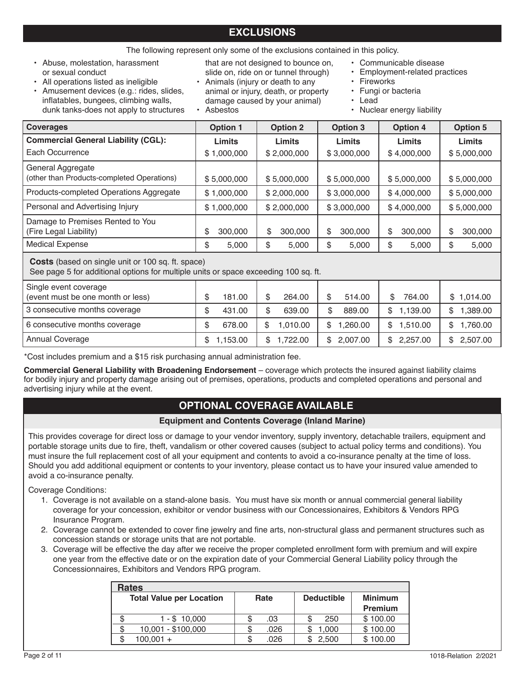## **EXCLUSIONS**

The following represent only some of the exclusions contained in this policy.

- Abuse, molestation, harassment or sexual conduct
- All operations listed as ineligible
- Amusement devices (e.g.: rides, slides, inflatables, bungees, climbing walls, dunk tanks-does not apply to structures

that are not designed to bounce on, slide on, ride on or tunnel through)

- Animals (injury or death to any animal or injury, death, or property damage caused by your animal) • Asbestos
- Communicable disease
- Employment-related practices
- **Fireworks**
- Fungi or bacteria
- Lead
- Nuclear energy liability

| <b>Coverages</b>                                                                                                                                | <b>Option 1</b> | <b>Option 2</b> | <b>Option 3</b> | <b>Option 4</b> | <b>Option 5</b> |  |
|-------------------------------------------------------------------------------------------------------------------------------------------------|-----------------|-----------------|-----------------|-----------------|-----------------|--|
| <b>Commercial General Liability (CGL):</b>                                                                                                      | Limits          | Limits          | Limits          | Limits          | Limits          |  |
| Each Occurrence                                                                                                                                 | \$1,000,000     | \$2,000,000     | \$3,000,000     | \$4,000,000     | \$5,000,000     |  |
| General Aggregate<br>(other than Products-completed Operations)                                                                                 | \$5,000,000     | \$5,000,000     | \$5,000,000     | \$5,000,000     | \$5,000,000     |  |
| Products-completed Operations Aggregate                                                                                                         | \$1,000,000     | \$2,000,000     | \$3,000,000     | \$4,000,000     | \$5,000,000     |  |
| Personal and Advertising Injury                                                                                                                 | \$1,000,000     | \$2,000,000     | \$3,000,000     | \$4,000,000     | \$5,000,000     |  |
| Damage to Premises Rented to You<br>(Fire Legal Liability)                                                                                      | 300,000<br>\$   | \$<br>300,000   | \$<br>300,000   | \$<br>300,000   | \$<br>300,000   |  |
| <b>Medical Expense</b>                                                                                                                          | \$<br>5,000     | \$<br>5,000     | \$<br>5,000     | \$<br>5,000     | \$<br>5,000     |  |
| <b>Costs</b> (based on single unit or 100 sq. ft. space)<br>See page 5 for additional options for multiple units or space exceeding 100 sq. ft. |                 |                 |                 |                 |                 |  |
| Single event coverage<br>(event must be one month or less)                                                                                      | \$<br>181.00    | \$<br>264.00    | \$<br>514.00    | \$<br>764.00    | \$1.014.00      |  |

| <b>Strictle event coverage</b>    |          |                |    |            |            |            |
|-----------------------------------|----------|----------------|----|------------|------------|------------|
| (event must be one month or less) | 181.00   | \$<br>264.00   |    | 514.00     | 764.00     | \$1,014.00 |
| 3 consecutive months coverage     | 431.00   | \$<br>639.00   |    | 889.00     | \$1.139.00 | 1.389.00   |
| 6 consecutive months coverage     | 678.00   | 1.010.00       | S. | 1.260.00   | \$1.510.00 | 1.760.00   |
| Annual Coverage                   | 1.153.00 | \$<br>1.722.00 |    | \$2.007.00 | \$2,257.00 | 2,507.00   |

\*Cost includes premium and a \$15 risk purchasing annual administration fee.

**Commercial General Liability with Broadening Endorsement** – coverage which protects the insured against liability claims for bodily injury and property damage arising out of premises, operations, products and completed operations and personal and advertising injury while at the event.

## **OPTIONAL COVERAGE AVAILABLE**

## **Equipment and Contents Coverage (Inland Marine)**

This provides coverage for direct loss or damage to your vendor inventory, supply inventory, detachable trailers, equipment and portable storage units due to fire, theft, vandalism or other covered causes (subject to actual policy terms and conditions). You must insure the full replacement cost of all your equipment and contents to avoid a co-insurance penalty at the time of loss. Should you add additional equipment or contents to your inventory, please contact us to have your insured value amended to avoid a co-insurance penalty.

Coverage Conditions:

- 1. Coverage is not available on a stand-alone basis. You must have six month or annual commercial general liability coverage for your concession, exhibitor or vendor business with our Concessionaires, Exhibitors & Vendors RPG Insurance Program.
- 2. Coverage cannot be extended to cover fine jewelry and fine arts, non-structural glass and permanent structures such as concession stands or storage units that are not portable.
- 3. Coverage will be effective the day after we receive the proper completed enrollment form with premium and will expire one year from the effective date or on the expiration date of your Commercial General Liability policy through the Concessionnaires, Exhibitors and Vendors RPG program.

| <b>Rates</b>                    |      |                   |                |  |  |  |  |
|---------------------------------|------|-------------------|----------------|--|--|--|--|
| <b>Total Value per Location</b> | Rate | <b>Deductible</b> | <b>Minimum</b> |  |  |  |  |
|                                 |      |                   | <b>Premium</b> |  |  |  |  |
| 1 - \$ 10.000                   | .03  | 250               | \$100.00       |  |  |  |  |
| 10,001 - \$100,000              | .026 | 1.000             | \$100.00       |  |  |  |  |
| $100,001 +$                     | .026 | 2.500             | \$100.00       |  |  |  |  |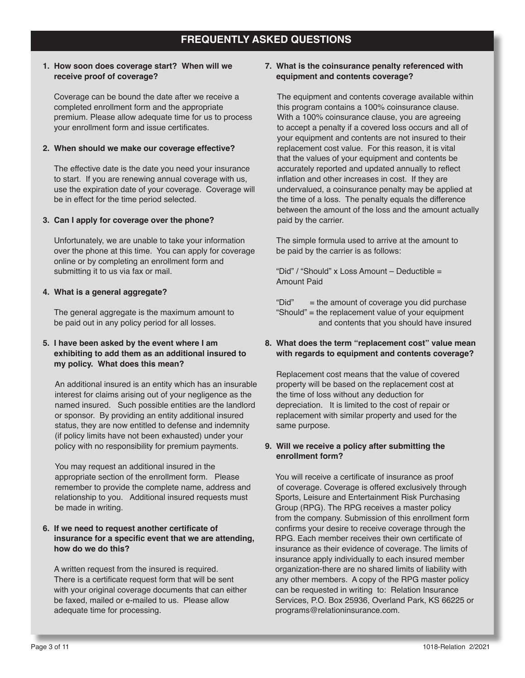### **1. How soon does coverage start? When will we receive proof of coverage?**

Coverage can be bound the date after we receive a completed enrollment form and the appropriate premium. Please allow adequate time for us to process your enrollment form and issue certificates.

### **2. When should we make our coverage effective?**

The effective date is the date you need your insurance to start. If you are renewing annual coverage with us, use the expiration date of your coverage. Coverage will be in effect for the time period selected.

#### **3. Can I apply for coverage over the phone?**

Unfortunately, we are unable to take your information over the phone at this time. You can apply for coverage online or by completing an enrollment form and submitting it to us via fax or mail.

#### **4. What is a general aggregate?**

The general aggregate is the maximum amount to be paid out in any policy period for all losses.

### **5. I have been asked by the event where I am exhibiting to add them as an additional insured to my policy. What does this mean?**

An additional insured is an entity which has an insurable interest for claims arising out of your negligence as the named insured. Such possible entities are the landlord or sponsor. By providing an entity additional insured status, they are now entitled to defense and indemnity (if policy limits have not been exhausted) under your policy with no responsibility for premium payments.

You may request an additional insured in the appropriate section of the enrollment form. Please remember to provide the complete name, address and relationship to you. Additional insured requests must be made in writing.

### **6. If we need to request another certificate of insurance for a specific event that we are attending, how do we do this?**

A written request from the insured is required. There is a certificate request form that will be sent with your original coverage documents that can either be faxed, mailed or e-mailed to us. Please allow adequate time for processing.

#### **7. What is the coinsurance penalty referenced with equipment and contents coverage?**

The equipment and contents coverage available within this program contains a 100% coinsurance clause. With a 100% coinsurance clause, you are agreeing to accept a penalty if a covered loss occurs and all of your equipment and contents are not insured to their replacement cost value. For this reason, it is vital that the values of your equipment and contents be accurately reported and updated annually to reflect inflation and other increases in cost. If they are undervalued, a coinsurance penalty may be applied at the time of a loss. The penalty equals the difference between the amount of the loss and the amount actually paid by the carrier.

The simple formula used to arrive at the amount to be paid by the carrier is as follows:

"Did" / "Should" x Loss Amount – Deductible = Amount Paid

"Did"  $=$  the amount of coverage you did purchase "Should" = the replacement value of your equipment and contents that you should have insured

### **8. What does the term "replacement cost" value mean with regards to equipment and contents coverage?**

Replacement cost means that the value of covered property will be based on the replacement cost at the time of loss without any deduction for depreciation. It is limited to the cost of repair or replacement with similar property and used for the same purpose.

## **9. Will we receive a policy after submitting the enrollment form?**

You will receive a certificate of insurance as proof of coverage. Coverage is offered exclusively through Sports, Leisure and Entertainment Risk Purchasing Group (RPG). The RPG receives a master policy from the company. Submission of this enrollment form confirms your desire to receive coverage through the RPG. Each member receives their own certificate of insurance as their evidence of coverage. The limits of insurance apply individually to each insured member organization-there are no shared limits of liability with any other members. A copy of the RPG master policy can be requested in writing to: Relation Insurance Services, P.O. Box 25936, Overland Park, KS 66225 or programs@relationinsurance.com.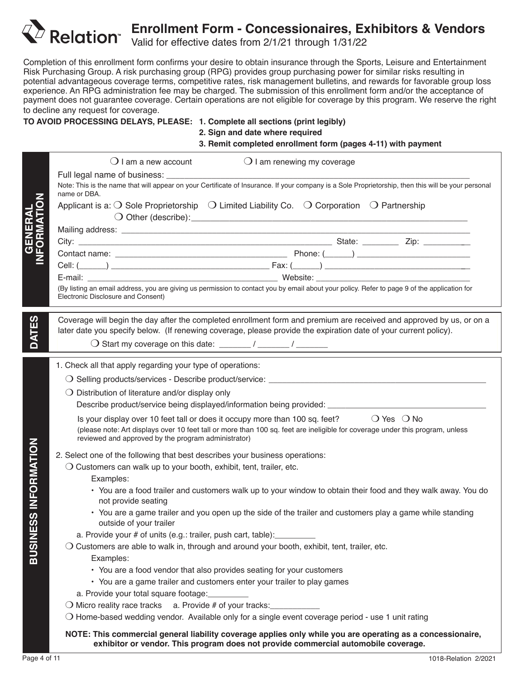

# **Enrollment Form - Concessionaires, Exhibitors & Vendors**

Valid for effective dates from 2/1/21 through 1/31/22

Completion of this enrollment form confirms your desire to obtain insurance through the Sports, Leisure and Entertainment Risk Purchasing Group. A risk purchasing group (RPG) provides group purchasing power for similar risks resulting in potential advantageous coverage terms, competitive rates, risk management bulletins, and rewards for favorable group loss experience. An RPG administration fee may be charged. The submission of this enrollment form and/or the acceptance of payment does not guarantee coverage. Certain operations are not eligible for coverage by this program. We reserve the right to decline any request for coverage.

## **TO AVOID PROCESSING DELAYS, PLEASE: 1. Complete all sections (print legibly)**

**2. Sign and date where required**

**3. Remit completed enrollment form (pages 4-11) with payment**

|                          | $\bigcirc$ I am a new account<br>$\bigcirc$ I am renewing my coverage                                                                                                                                                                                                                            |
|--------------------------|--------------------------------------------------------------------------------------------------------------------------------------------------------------------------------------------------------------------------------------------------------------------------------------------------|
|                          | Note: This is the name that will appear on your Certificate of Insurance. If your company is a Sole Proprietorship, then this will be your personal                                                                                                                                              |
| GENERAL<br>IFORMATIOI    | name or DBA.<br>Applicant is a: $\bigcirc$ Sole Proprietorship $\bigcirc$ Limited Liability Co. $\bigcirc$ Corporation $\bigcirc$ Partnership                                                                                                                                                    |
|                          |                                                                                                                                                                                                                                                                                                  |
|                          |                                                                                                                                                                                                                                                                                                  |
|                          |                                                                                                                                                                                                                                                                                                  |
|                          |                                                                                                                                                                                                                                                                                                  |
|                          |                                                                                                                                                                                                                                                                                                  |
|                          | (By listing an email address, you are giving us permission to contact you by email about your policy. Refer to page 9 of the application for<br>Electronic Disclosure and Consent)                                                                                                               |
|                          | Coverage will begin the day after the completed enrollment form and premium are received and approved by us, or on a                                                                                                                                                                             |
| <b>DATES</b>             | later date you specify below. (If renewing coverage, please provide the expiration date of your current policy).                                                                                                                                                                                 |
|                          |                                                                                                                                                                                                                                                                                                  |
|                          | 1. Check all that apply regarding your type of operations:                                                                                                                                                                                                                                       |
|                          |                                                                                                                                                                                                                                                                                                  |
|                          | $\bigcirc$ Distribution of literature and/or display only                                                                                                                                                                                                                                        |
|                          |                                                                                                                                                                                                                                                                                                  |
|                          | Is your display over 10 feet tall or does it occupy more than 100 sq. feet? $\bigcirc$ Yes $\bigcirc$ No<br>(please note: Art displays over 10 feet tall or more than 100 sq. feet are ineligible for coverage under this program, unless<br>reviewed and approved by the program administrator) |
|                          | 2. Select one of the following that best describes your business operations:                                                                                                                                                                                                                     |
|                          | $\bigcirc$ Customers can walk up to your booth, exhibit, tent, trailer, etc.                                                                                                                                                                                                                     |
|                          | Examples:                                                                                                                                                                                                                                                                                        |
| <b>SS INFORMATION</b>    | • You are a food trailer and customers walk up to your window to obtain their food and they walk away. You do<br>not provide seating                                                                                                                                                             |
| ш                        | • You are a game trailer and you open up the side of the trailer and customers play a game while standing<br>outside of your trailer                                                                                                                                                             |
| $\overline{\phantom{a}}$ | a. Provide your # of units (e.g.: trailer, push cart, table):                                                                                                                                                                                                                                    |
| <b>IISUB</b>             | $\bigcirc$ Customers are able to walk in, through and around your booth, exhibit, tent, trailer, etc.                                                                                                                                                                                            |
|                          | Examples:                                                                                                                                                                                                                                                                                        |
|                          | • You are a food vendor that also provides seating for your customers                                                                                                                                                                                                                            |
|                          | • You are a game trailer and customers enter your trailer to play games                                                                                                                                                                                                                          |
|                          | a. Provide your total square footage:                                                                                                                                                                                                                                                            |
|                          | $\bigcirc$ Micro reality race tracks a. Provide # of your tracks:<br>O Home-based wedding vendor. Available only for a single event coverage period - use 1 unit rating                                                                                                                          |
|                          |                                                                                                                                                                                                                                                                                                  |
|                          | NOTE: This commercial general liability coverage applies only while you are operating as a concessionaire,<br>exhibitor or vendor. This program does not provide commercial automobile coverage.                                                                                                 |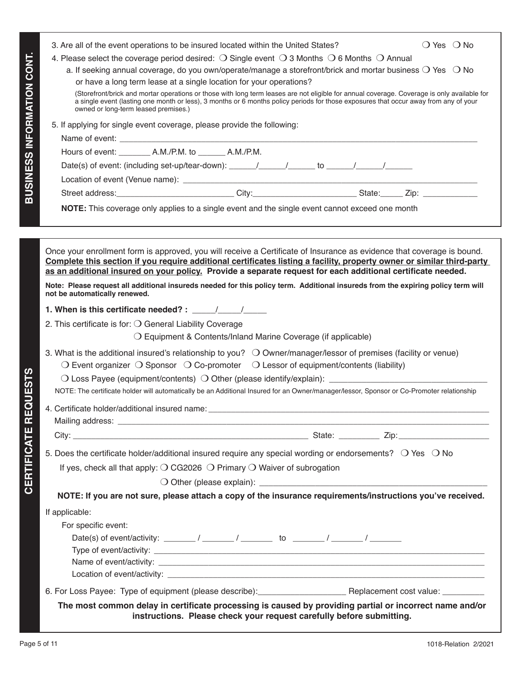| <b>BUSINESS INFORMATION CONT.</b>         | $\bigcirc$ Yes $\bigcirc$ No<br>3. Are all of the event operations to be insured located within the United States?<br>4. Please select the coverage period desired: $\bigcirc$ Single event $\bigcirc$ 3 Months $\bigcirc$ 6 Months $\bigcirc$ Annual<br>a. If seeking annual coverage, do you own/operate/manage a storefront/brick and mortar business $\bigcirc$ Yes $\bigcirc$ No<br>or have a long term lease at a single location for your operations?<br>(Storefront/brick and mortar operations or those with long term leases are not eligible for annual coverage. Coverage is only available for<br>a single event (lasting one month or less), 3 months or 6 months policy periods for those exposures that occur away from any of your<br>owned or long-term leased premises.)<br>5. If applying for single event coverage, please provide the following:<br>Date(s) of event: (including set-up/tear-down): _____/_____/_____to _____/_____/                                                                                                                                                                                                                                                                                                                                                                                                                                                                                                                                                                                                                                                    |
|-------------------------------------------|---------------------------------------------------------------------------------------------------------------------------------------------------------------------------------------------------------------------------------------------------------------------------------------------------------------------------------------------------------------------------------------------------------------------------------------------------------------------------------------------------------------------------------------------------------------------------------------------------------------------------------------------------------------------------------------------------------------------------------------------------------------------------------------------------------------------------------------------------------------------------------------------------------------------------------------------------------------------------------------------------------------------------------------------------------------------------------------------------------------------------------------------------------------------------------------------------------------------------------------------------------------------------------------------------------------------------------------------------------------------------------------------------------------------------------------------------------------------------------------------------------------------------------------------------------------------------------------------------------------|
|                                           | Street address:_____________________________City:_________________________State:______Zip: _______________<br>NOTE: This coverage only applies to a single event and the single event cannot exceed one month                                                                                                                                                                                                                                                                                                                                                                                                                                                                                                                                                                                                                                                                                                                                                                                                                                                                                                                                                                                                                                                                                                                                                                                                                                                                                                                                                                                                 |
|                                           |                                                                                                                                                                                                                                                                                                                                                                                                                                                                                                                                                                                                                                                                                                                                                                                                                                                                                                                                                                                                                                                                                                                                                                                                                                                                                                                                                                                                                                                                                                                                                                                                               |
| EQUESTS<br>$\alpha$<br><b>CERTIFICATE</b> | Once your enrollment form is approved, you will receive a Certificate of Insurance as evidence that coverage is bound.<br>Complete this section if you require additional certificates listing a facility, property owner or similar third-party<br>as an additional insured on your policy. Provide a separate request for each additional certificate needed.<br>Note: Please request all additional insureds needed for this policy term. Additional insureds from the expiring policy term will<br>not be automatically renewed.<br>1. When is this certificate needed? : $\frac{1}{2}$<br>2. This certificate is for: $\bigcirc$ General Liability Coverage<br>O Equipment & Contents/Inland Marine Coverage (if applicable)<br>3. What is the additional insured's relationship to you? $\bigcirc$ Owner/manager/lessor of premises (facility or venue)<br>$\bigcirc$ Event organizer $\bigcirc$ Sponsor $\bigcirc$ Co-promoter $\bigcirc$ Lessor of equipment/contents (liability)<br>NOTE: The certificate holder will automatically be an Additional Insured for an Owner/manager/lessor, Sponsor or Co-Promoter relationship<br>5. Does the certificate holder/additional insured require any special wording or endorsements? O Yes O No<br>If yes, check all that apply: $\bigcirc$ CG2026 $\bigcirc$ Primary $\bigcirc$ Waiver of subrogation<br>NOTE: If you are not sure, please attach a copy of the insurance requirements/instructions you've received.<br>If applicable:<br>For specific event:<br>6. For Loss Payee: Type of equipment (please describe): Replacement cost value: _______ |
|                                           | The most common delay in certificate processing is caused by providing partial or incorrect name and/or<br>instructions. Please check your request carefully before submitting.                                                                                                                                                                                                                                                                                                                                                                                                                                                                                                                                                                                                                                                                                                                                                                                                                                                                                                                                                                                                                                                                                                                                                                                                                                                                                                                                                                                                                               |
| Page 5 of 11                              | 1018-Relation 2/2021                                                                                                                                                                                                                                                                                                                                                                                                                                                                                                                                                                                                                                                                                                                                                                                                                                                                                                                                                                                                                                                                                                                                                                                                                                                                                                                                                                                                                                                                                                                                                                                          |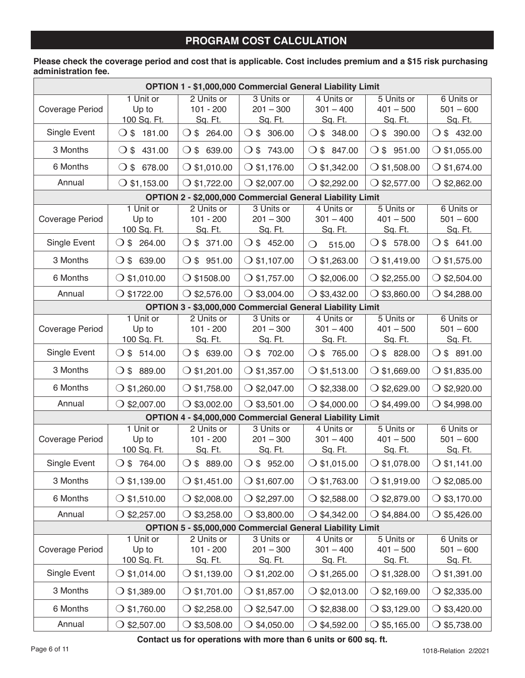## **PROGRAM COST CALCULATION**

## **Please check the coverage period and cost that is applicable. Cost includes premium and a \$15 risk purchasing administration fee.**

| <b>OPTION 1 - \$1,000,000 Commercial General Liability Limit</b> |                                   |                                             |                                                           |                                             |                                             |                                      |  |  |
|------------------------------------------------------------------|-----------------------------------|---------------------------------------------|-----------------------------------------------------------|---------------------------------------------|---------------------------------------------|--------------------------------------|--|--|
| Coverage Period                                                  | 1 Unit or<br>Up to<br>100 Sq. Ft. | 2 Units or<br>$101 - 200$<br>Sq. Ft.        | 3 Units or<br>$201 - 300$<br>Sq. Ft.                      | 4 Units or<br>$301 - 400$<br><u>Sq. Ft.</u> | 5 Units or<br>$401 - 500$<br>Sq. Ft.        | 6 Units or<br>$501 - 600$<br>Sq. Ft. |  |  |
| Single Event                                                     | 181.00<br>$\circ$                 | $\bigcirc$ \$ 264.00                        | $\bigcirc$ \$ 306.00                                      | $\bigcirc$ \$ 348.00                        | $\bigcirc$ \$<br>390.00                     | $\bigcirc$ \$ 432.00                 |  |  |
| 3 Months                                                         | $O$ \$ 431.00                     | $O $$ 639.00                                | $O $$ 743.00                                              | $O $$ 847.00                                | $\bigcirc$ \$ 951.00                        | $\bigcirc$ \$1,055.00                |  |  |
| 6 Months                                                         | $O $$ 678.00                      | $O$ \$1,010.00                              | $\bigcirc$ \$1,176.00                                     | $\bigcirc$ \$1,342.00                       | $\bigcirc$ \$1,508.00                       | $O$ \$1,674.00                       |  |  |
| Annual                                                           | $\bigcirc$ \$1,153.00             | $O$ \$1,722.00                              | $\bigcirc$ \$2,007.00                                     | $\bigcirc$ \$2,292.00                       | $O$ \$2,577.00                              | $\bigcirc$ \$2,862.00                |  |  |
| OPTION 2 - \$2,000,000 Commercial General Liability Limit        |                                   |                                             |                                                           |                                             |                                             |                                      |  |  |
| Coverage Period                                                  | 1 Unit or<br>Up to<br>100 Sq. Ft. | 2 Units or<br>$101 - 200$<br>Sq. Ft.        | 3 Units or<br>$201 - 300$<br>Sq. Ft.                      | 4 Units or<br>$301 - 400$<br><u>Sq. Ft.</u> | 5 Units or<br>$401 - 500$<br><u>Sq. Ft.</u> | 6 Units or<br>$501 - 600$<br>Sq. Ft. |  |  |
| Single Event                                                     | $O $3$ 264.00                     | $\bigcirc$ \$ 371.00                        | O \$452.00                                                | 515.00<br>$\bigcirc$                        | $O $$ 578.00                                | $O $$ 641.00                         |  |  |
| 3 Months                                                         | $\bigcirc$ \$ 639.00              | $\bigcirc$ \$ 951.00                        | $\bigcirc$ \$1,107.00                                     | $\bigcirc$ \$1,263.00                       | $\bigcirc$ \$1,419.00                       | $\bigcirc$ \$1,575.00                |  |  |
| 6 Months                                                         | $\bigcirc$ \$1,010.00             | $\bigcirc$ \$1508.00                        | $O$ \$1,757.00                                            | $\bigcirc$ \$2,006.00                       | $\bigcirc$ \$2,255.00                       | $\bigcirc$ \$2,504.00                |  |  |
| Annual                                                           | $\bigcirc$ \$1722.00              | $\bigcirc$ \$2,576.00                       | $\bigcirc$ \$3,004.00                                     | $\bigcirc$ \$3,432.00                       | $\bigcirc$ \$3,860.00                       | $\bigcirc$ \$4,288.00                |  |  |
|                                                                  |                                   |                                             | OPTION 3 - \$3,000,000 Commercial General Liability Limit |                                             |                                             |                                      |  |  |
| Coverage Period                                                  | 1 Unit or<br>Up to<br>100 Sq. Ft. | 2 Units or<br>$101 - 200$<br>Sq. Ft.        | 3 Units or<br>$201 - 300$<br>Sq. Ft.                      | 4 Units or<br>$301 - 400$<br>Sq. Ft.        | 5 Units or<br>$401 - 500$<br>Sq. Ft.        | 6 Units or<br>$501 - 600$<br>Sq. Ft. |  |  |
| Single Event                                                     | $O $$ 514.00                      | $\bigcirc$ \$ 639.00                        | $O $$ 702.00                                              | $O $$ 765.00                                | $\bigcirc$ \$ 828.00                        | $\bigcirc$ \$ 891.00                 |  |  |
| 3 Months                                                         | $\bigcirc$ \$ 889.00              | $\bigcirc$ \$1,201.00                       | $\bigcirc$ \$1,357.00                                     | $\bigcirc$ \$1,513.00                       | $\bigcirc$ \$1,669.00                       | $\bigcirc$ \$1,835.00                |  |  |
| 6 Months                                                         | $\bigcirc$ \$1,260.00             | $\bigcirc$ \$1,758.00                       | $\bigcirc$ \$2,047.00                                     | $\bigcirc$ \$2,338.00                       | $\bigcirc$ \$2,629.00                       | $\bigcirc$ \$2,920.00                |  |  |
| Annual                                                           | $\bigcirc$ \$2,007.00             | $\bigcirc$ \$3,002.00                       | $\bigcirc$ \$3,501.00                                     | $\bigcirc$ \$4,000.00                       | $\bigcirc$ \$4,499.00                       | $\bigcirc$ \$4,998.00                |  |  |
|                                                                  |                                   |                                             | OPTION 4 - \$4,000,000 Commercial General Liability Limit |                                             |                                             |                                      |  |  |
| Coverage Period                                                  | 1 Unit or<br>Up to<br>100 Sq. Ft. | 2 Units or<br>$101 - 200$<br>Sq. Ft.        | 3 Units or<br>$201 - 300$<br>Sq. Ft.                      | 4 Units or<br>$301 - 400$<br>Sq. Ft.        | 5 Units or<br>$401 - 500$<br>Sq. Ft.        | 6 Units or<br>$501 - 600$<br>Sq. Ft. |  |  |
| Single Event                                                     | O \$764.00                        | $O $$ 889.00                                | $\bigcirc$ \$ 952.00                                      | $O$ \$1,015.00                              | $O$ \$1,078.00                              | $O$ \$1,141.00                       |  |  |
| 3 Months                                                         | $\bigcirc$ \$1,139.00             | $\bigcirc$ \$1,451.00                       | $\bigcirc$ \$1,607.00                                     | $\bigcirc$ \$1,763.00                       | $\bigcirc$ \$1,919.00                       | $\bigcirc$ \$2,085.00                |  |  |
| 6 Months                                                         | $\bigcirc$ \$1,510.00             | $\bigcirc$ \$2,008.00                       | $\bigcirc$ \$2,297.00                                     | $\bigcirc$ \$2,588.00                       | $\bigcirc$ \$2,879.00                       | $\bigcirc$ \$3,170.00                |  |  |
| Annual                                                           | $\bigcirc$ \$2,257.00             | $\bigcirc$ \$3,258.00                       | $\bigcirc$ \$3,800.00                                     | $\bigcirc$ \$4,342.00                       | $\bigcirc$ \$4,884.00                       | $\bigcirc$ \$5,426.00                |  |  |
|                                                                  |                                   |                                             | OPTION 5 - \$5,000,000 Commercial General Liability Limit |                                             |                                             |                                      |  |  |
| Coverage Period                                                  | 1 Unit or<br>Up to<br>100 Sq. Ft. | 2 Units or<br>$101 - 200$<br><u>Sq. Ft.</u> | 3 Units or<br>$201 - 300$<br><u>Sq. Ft.</u>               | 4 Units or<br>$301 - 400$<br><u>Sq. Ft.</u> | 5 Units or<br>$401 - 500$<br><u>Sq. Ft.</u> | 6 Units or<br>$501 - 600$<br>Sq. Ft. |  |  |
| Single Event                                                     | $\bigcirc$ \$1,014.00             | $\bigcirc$ \$1,139.00                       | $\bigcirc$ \$1,202.00                                     | $\bigcirc$ \$1,265.00                       | $\bigcirc$ \$1,328.00                       | $\bigcirc$ \$1,391.00                |  |  |
| 3 Months                                                         | $\bigcirc$ \$1,389.00             | $\bigcirc$ \$1,701.00                       | $\bigcirc$ \$1,857.00                                     | $\bigcirc$ \$2,013.00                       | $\bigcirc$ \$2,169.00                       | $\bigcirc$ \$2,335.00                |  |  |
| 6 Months                                                         | $\bigcirc$ \$1,760.00             | $\bigcirc$ \$2,258.00                       | $\bigcirc$ \$2,547.00                                     | $\bigcirc$ \$2,838.00                       | $\bigcirc$ \$3,129.00                       | $\bigcirc$ \$3,420.00                |  |  |
| Annual                                                           | $\bigcirc$ \$2,507.00             | $\bigcirc$ \$3,508.00                       | $\bigcirc$ \$4,050.00                                     | \$4,592.00                                  | \$5,165.00<br>$\mathbf{O}$                  | $\bigcirc$ \$5,738.00                |  |  |

**Contact us for operations with more than 6 units or 600 sq. ft.**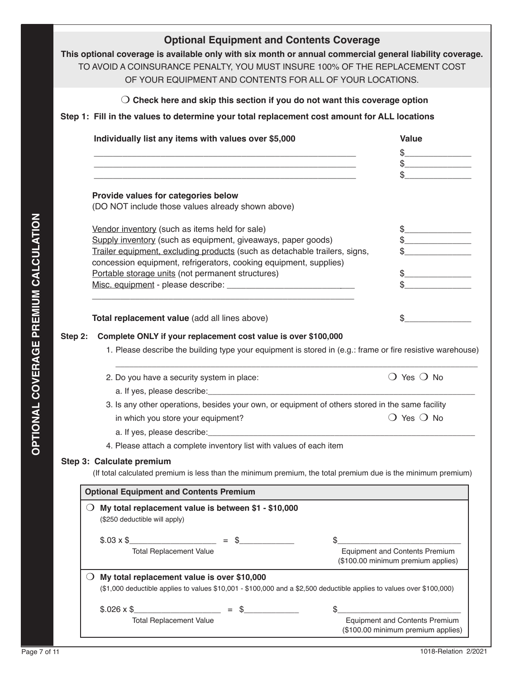|         | $\bigcirc$ Check here and skip this section if you do not want this coverage option                                                                                                                                                                                                                                    |                                                                             |
|---------|------------------------------------------------------------------------------------------------------------------------------------------------------------------------------------------------------------------------------------------------------------------------------------------------------------------------|-----------------------------------------------------------------------------|
|         | Step 1: Fill in the values to determine your total replacement cost amount for ALL locations                                                                                                                                                                                                                           |                                                                             |
|         | Individually list any items with values over \$5,000                                                                                                                                                                                                                                                                   | <b>Value</b><br>$\frac{1}{2}$                                               |
|         | <u> 1989 - Johann Barn, mars an t-Amerikaansk politiker (* 1908)</u><br>Provide values for categories below<br>(DO NOT include those values already shown above)                                                                                                                                                       |                                                                             |
|         | Vendor inventory (such as items held for sale)<br>Supply inventory (such as equipment, giveaways, paper goods)<br>Trailer equipment, excluding products (such as detachable trailers, signs,<br>concession equipment, refrigerators, cooking equipment, supplies)<br>Portable storage units (not permanent structures) | $\frac{1}{2}$                                                               |
|         | Total replacement value (add all lines above)                                                                                                                                                                                                                                                                          | \$                                                                          |
| Step 2: | Complete ONLY if your replacement cost value is over \$100,000<br>1. Please describe the building type your equipment is stored in (e.g.: frame or fire resistive warehouse)                                                                                                                                           |                                                                             |
|         | 2. Do you have a security system in place:                                                                                                                                                                                                                                                                             | $\bigcirc$ Yes $\bigcirc$ No                                                |
|         | a. If yes, please describe: experience and a series of yes, please describe:<br>3. Is any other operations, besides your own, or equipment of others stored in the same facility                                                                                                                                       |                                                                             |
|         | in which you store your equipment?                                                                                                                                                                                                                                                                                     | $\bigcirc$ Yes $\bigcirc$ No                                                |
|         |                                                                                                                                                                                                                                                                                                                        |                                                                             |
|         | 4. Please attach a complete inventory list with values of each item<br>Step 3: Calculate premium<br>(If total calculated premium is less than the minimum premium, the total premium due is the minimum premium)                                                                                                       |                                                                             |
|         | <b>Optional Equipment and Contents Premium</b>                                                                                                                                                                                                                                                                         |                                                                             |
|         | $\bigcirc$ My total replacement value is between \$1 - \$10,000<br>(\$250 deductible will apply)                                                                                                                                                                                                                       |                                                                             |
|         | $$.03 \times $$<br><b>Total Replacement Value</b>                                                                                                                                                                                                                                                                      | <b>Equipment and Contents Premium</b><br>(\$100.00 minimum premium applies) |
|         | $\bigcirc$ My total replacement value is over \$10,000<br>(\$1,000 deductible applies to values \$10,001 - \$100,000 and a \$2,500 deductible applies to values over \$100,000)                                                                                                                                        |                                                                             |
|         | $$.026 \times $$                                                                                                                                                                                                                                                                                                       |                                                                             |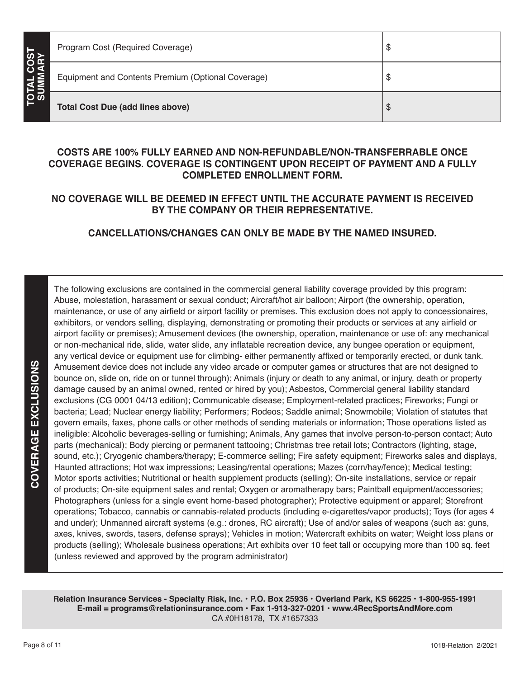| Program Cost (Required Coverage)                        | Ψ |
|---------------------------------------------------------|---|
| Equipment and Contents Premium (Optional Coverage)<br>2 | w |
| ŋ<br><b>Total Cost Due (add lines above)</b>            | จ |

## **COSTS ARE 100% FULLY EARNED AND NON-REFUNDABLE/NON-TRANSFERRABLE ONCE COVERAGE BEGINS. COVERAGE IS CONTINGENT UPON RECEIPT OF PAYMENT AND A FULLY COMPLETED ENROLLMENT FORM.**

## **NO COVERAGE WILL BE DEEMED IN EFFECT UNTIL THE ACCURATE PAYMENT IS RECEIVED BY THE COMPANY OR THEIR REPRESENTATIVE.**

**CANCELLATIONS/CHANGES CAN ONLY BE MADE BY THE NAMED INSURED.**

The following exclusions are contained in the commercial general liability coverage provided by this program: Abuse, molestation, harassment or sexual conduct; Aircraft/hot air balloon; Airport (the ownership, operation, maintenance, or use of any airfield or airport facility or premises. This exclusion does not apply to concessionaires, exhibitors, or vendors selling, displaying, demonstrating or promoting their products or services at any airfield or airport facility or premises); Amusement devices (the ownership, operation, maintenance or use of: any mechanical or non-mechanical ride, slide, water slide, any inflatable recreation device, any bungee operation or equipment, any vertical device or equipment use for climbing- either permanently affixed or temporarily erected, or dunk tank. Amusement device does not include any video arcade or computer games or structures that are not designed to bounce on, slide on, ride on or tunnel through); Animals (injury or death to any animal, or injury, death or property damage caused by an animal owned, rented or hired by you); Asbestos, Commercial general liability standard exclusions (CG 0001 04/13 edition); Communicable disease; Employment-related practices; Fireworks; Fungi or bacteria; Lead; Nuclear energy liability; Performers; Rodeos; Saddle animal; Snowmobile; Violation of statutes that govern emails, faxes, phone calls or other methods of sending materials or information; Those operations listed as ineligible: Alcoholic beverages-selling or furnishing; Animals, Any games that involve person-to-person contact; Auto parts (mechanical); Body piercing or permanent tattooing; Christmas tree retail lots; Contractors (lighting, stage, sound, etc.); Cryogenic chambers/therapy; E-commerce selling; Fire safety equipment; Fireworks sales and displays, Haunted attractions; Hot wax impressions; Leasing/rental operations; Mazes (corn/hay/fence); Medical testing; Motor sports activities; Nutritional or health supplement products (selling); On-site installations, service or repair of products; On-site equipment sales and rental; Oxygen or aromatherapy bars; Paintball equipment/accessories; Photographers (unless for a single event home-based photographer); Protective equipment or apparel; Storefront operations; Tobacco, cannabis or cannabis-related products (including e-cigarettes/vapor products); Toys (for ages 4 and under); Unmanned aircraft systems (e.g.: drones, RC aircraft); Use of and/or sales of weapons (such as: guns, axes, knives, swords, tasers, defense sprays); Vehicles in motion; Watercraft exhibits on water; Weight loss plans or products (selling); Wholesale business operations; Art exhibits over 10 feet tall or occupying more than 100 sq. feet (unless reviewed and approved by the program administrator)

**Relation Insurance Services - Specialty Risk, Inc. • P.O. Box 25936 • Overland Park, KS 66225 • 1-800-955-1991 E-mail = programs@relationinsurance.com • Fax 1-913-327-0201 • www.4RecSportsAndMore.com** CA #0H18178, TX #1657333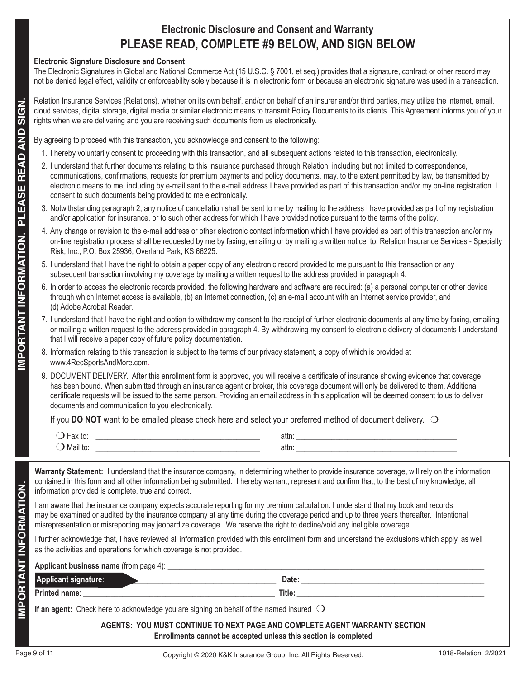# **Electronic Disclosure and Consent and Warranty PLEASE READ, COMPLETE #9 BELOW, AND SIGN BELOW**

## **Electronic Signature Disclosure and Consent**

The Electronic Signatures in Global and National Commerce Act (15 U.S.C. § 7001, et seq.) provides that a signature, contract or other record may not be denied legal effect, validity or enforceability solely because it is in electronic form or because an electronic signature was used in a transaction.

Relation Insurance Services (Relations), whether on its own behalf, and/or on behalf of an insurer and/or third parties, may utilize the internet, email, cloud services, digital storage, digital media or similar electronic means to transmit Policy Documents to its clients. This Agreement informs you of your rights when we are delivering and you are receiving such documents from us electronically.

- 1. I hereby voluntarily consent to proceeding with this transaction, and all subsequent actions related to this transaction, electronically.
- 2. I understand that further documents relating to this insurance purchased through Relation, including but not limited to correspondence, communications, confirmations, requests for premium payments and policy documents, may, to the extent permitted by law, be transmitted by electronic means to me, including by e-mail sent to the e-mail address I have provided as part of this transaction and/or my on-line registration. I consent to such documents being provided to me electronically.
- 3. Notwithstanding paragraph 2, any notice of cancellation shall be sent to me by mailing to the address I have provided as part of my registration and/or application for insurance, or to such other address for which I have provided notice pursuant to the terms of the policy.
- 4. Any change or revision to the e-mail address or other electronic contact information which I have provided as part of this transaction and/or my on-line registration process shall be requested by me by faxing, emailing or by mailing a written notice to: Relation Insurance Services - Specialty Risk, Inc., P.O. Box 25936, Overland Park, KS 66225.
- 5. I understand that I have the right to obtain a paper copy of any electronic record provided to me pursuant to this transaction or any subsequent transaction involving my coverage by mailing a written request to the address provided in paragraph 4.
- 6. In order to access the electronic records provided, the following hardware and software are required: (a) a personal computer or other device through which Internet access is available, (b) an Internet connection, (c) an e-mail account with an Internet service provider, and (d) Adobe Acrobat Reader.
- 7. I understand that I have the right and option to withdraw my consent to the receipt of further electronic documents at any time by faxing, emailing or mailing a written request to the address provided in paragraph 4. By withdrawing my consent to electronic delivery of documents I understand that I will receive a paper copy of future policy documentation.
- 8. Information relating to this transaction is subject to the terms of our privacy statement, a copy of which is provided at www.4RecSportsAndMore.com.
- 9. DOCUMENT DELIVERY. After this enrollment form is approved, you will receive a certificate of insurance showing evidence that coverage has been bound. When submitted through an insurance agent or broker, this coverage document will only be delivered to them. Additional certificate requests will be issued to the same person. Providing an email address in this application will be deemed consent to us to deliver documents and communication to you electronically.

| $\overline{\phantom{a}}$ | au   |
|--------------------------|------|
|                          | αιιι |

|                              | Page 9 of 11                                                                                                                                                                                                                                                                                                                                                                                                                         |
|------------------------------|--------------------------------------------------------------------------------------------------------------------------------------------------------------------------------------------------------------------------------------------------------------------------------------------------------------------------------------------------------------------------------------------------------------------------------------|
|                              | AGENTS: YOU MUST CONTINUE TO NEXT PAGE AND COMPLETE AGENT WARRANTY SECTION<br>Enrollments cannot be accepted unless this section is completed                                                                                                                                                                                                                                                                                        |
|                              | If an agent: Check here to acknowledge you are signing on behalf of the named insured $\bigcirc$                                                                                                                                                                                                                                                                                                                                     |
|                              |                                                                                                                                                                                                                                                                                                                                                                                                                                      |
|                              | Applicant signature: All and the Community of Date: Applicant signature: Applicant signature:                                                                                                                                                                                                                                                                                                                                        |
|                              |                                                                                                                                                                                                                                                                                                                                                                                                                                      |
|                              | I further acknowledge that, I have reviewed all information provided with this enrollment form and understand the exclusions which apply, as well<br>as the activities and operations for which coverage is not provided.                                                                                                                                                                                                            |
| <b>IMPORTANT INFORMATION</b> | may be examined or audited by the insurance company at any time during the coverage period and up to three years thereafter. Intentional<br>misrepresentation or misreporting may jeopardize coverage. We reserve the right to decline/void any ineligible coverage.                                                                                                                                                                 |
|                              | I am aware that the insurance company expects accurate reporting for my premium calculation. I understand that my book and records                                                                                                                                                                                                                                                                                                   |
|                              | Warranty Statement: I understand that the insurance company, in determining whether to provide insurance coverage, will rely on the information<br>contained in this form and all other information being submitted. I hereby warrant, represent and confirm that, to the best of my knowledge, all<br>information provided is complete, true and correct.                                                                           |
|                              |                                                                                                                                                                                                                                                                                                                                                                                                                                      |
|                              |                                                                                                                                                                                                                                                                                                                                                                                                                                      |
|                              | documents and communication to you electronically.<br>If you DO NOT want to be emailed please check here and select your preferred method of document delivery. $\bigcirc$                                                                                                                                                                                                                                                           |
|                              | 9. DOCUMENT DELIVERY. After this enrollment form is approved, you will receive a certificate of insurance showing evidence that coverage<br>has been bound. When submitted through an insurance agent or broker, this coverage document will only be delivered to them. Additional<br>certificate requests will be issued to the same person. Providing an email address in this application will be deemed consent to us to deliver |
|                              | 8. Information relating to this transaction is subject to the terms of our privacy statement, a copy of which is provided at<br>www.4RecSportsAndMore.com.                                                                                                                                                                                                                                                                           |
| IMPORTANT INFORMATION.       | or mailing a written request to the address provided in paragraph 4. By withdrawing my consent to electronic delivery of documents I understand<br>that I will receive a paper copy of future policy documentation.                                                                                                                                                                                                                  |
|                              | 7. I understand that I have the right and option to withdraw my consent to the receipt of further electronic documents at any time by faxing, emailing                                                                                                                                                                                                                                                                               |
|                              | through which Internet access is available, (b) an Internet connection, (c) an e-mail account with an Internet service provider, and<br>(d) Adobe Acrobat Reader.                                                                                                                                                                                                                                                                    |
|                              | subsequent transaction involving my coverage by mailing a written request to the address provided in paragraph 4.<br>6. In order to access the electronic records provided, the following hardware and software are required: (a) a personal computer or other device                                                                                                                                                                |
|                              | 5. I understand that I have the right to obtain a paper copy of any electronic record provided to me pursuant to this transaction or any                                                                                                                                                                                                                                                                                             |
|                              | 4. Any change or revision to the e-mail address or other electronic contact information which I have provided as part of this transaction and/or my<br>on-line registration process shall be requested by me by faxing, emailing or by mailing a written notice to: Relation Insurance Services - Specialty<br>Risk, Inc., P.O. Box 25936, Overland Park, KS 66225.                                                                  |
|                              | and/or application for insurance, or to such other address for which I have provided notice pursuant to the terms of the policy.                                                                                                                                                                                                                                                                                                     |
| PLEASE                       | consent to such documents being provided to me electronically.<br>3. Notwithstanding paragraph 2, any notice of cancellation shall be sent to me by mailing to the address I have provided as part of my registration                                                                                                                                                                                                                |
|                              | communications, confirmations, requests for premium payments and policy documents, may, to the extent permitted by law, be transmitted by<br>electronic means to me, including by e-mail sent to the e-mail address I have provided as part of this transaction and/or my on-line registration. I                                                                                                                                    |
| <b>READ AND</b>              | 2. I understand that further documents relating to this insurance purchased through Relation, including but not limited to correspondence,                                                                                                                                                                                                                                                                                           |
|                              | By agreeing to proceed with this transaction, you acknowledge and consent to the following:<br>1. I hereby voluntarily consent to proceeding with this transaction, and all subsequent actions related to this transaction, electronically.                                                                                                                                                                                          |
|                              |                                                                                                                                                                                                                                                                                                                                                                                                                                      |
| <b>SIGN.</b>                 | Relation Insurance Services (Relations), whether on its own behalf, and/or on behalf of an insurer and/or third parties, may utilize the internet, email,<br>cloud services, digital storage, digital media or similar electronic means to transmit Policy Documents to its clients. This Agreement informs you of your<br>rights when we are delivering and you are receiving such documents from us electronically.                |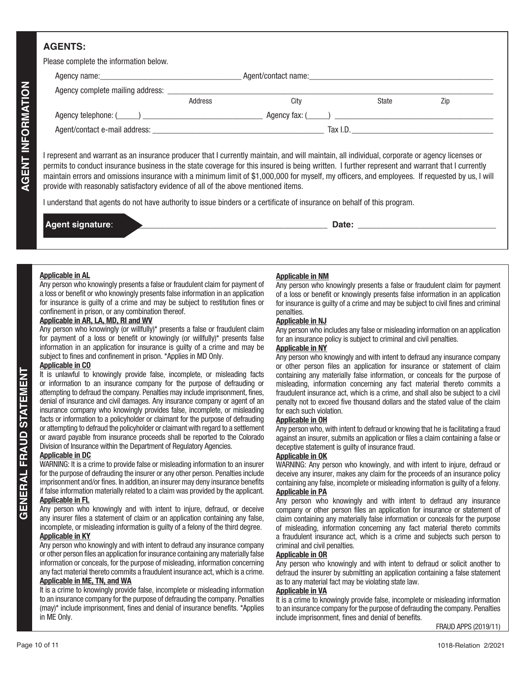## **AGENTS:**

Please complete the information below

| <b>I</b> IGASG COMPIGIG THE IMPORTANCE DEIVIV.                      |                                                                                                                                                                                                                                                                                                                                                                                                                                                                                                                                                                                                                                                                       |                               |                                                                                                                                                                     |                      |
|---------------------------------------------------------------------|-----------------------------------------------------------------------------------------------------------------------------------------------------------------------------------------------------------------------------------------------------------------------------------------------------------------------------------------------------------------------------------------------------------------------------------------------------------------------------------------------------------------------------------------------------------------------------------------------------------------------------------------------------------------------|-------------------------------|---------------------------------------------------------------------------------------------------------------------------------------------------------------------|----------------------|
|                                                                     |                                                                                                                                                                                                                                                                                                                                                                                                                                                                                                                                                                                                                                                                       |                               |                                                                                                                                                                     |                      |
|                                                                     |                                                                                                                                                                                                                                                                                                                                                                                                                                                                                                                                                                                                                                                                       |                               |                                                                                                                                                                     |                      |
|                                                                     | Address                                                                                                                                                                                                                                                                                                                                                                                                                                                                                                                                                                                                                                                               | City                          | State                                                                                                                                                               | Zip                  |
|                                                                     |                                                                                                                                                                                                                                                                                                                                                                                                                                                                                                                                                                                                                                                                       |                               |                                                                                                                                                                     |                      |
|                                                                     |                                                                                                                                                                                                                                                                                                                                                                                                                                                                                                                                                                                                                                                                       |                               |                                                                                                                                                                     |                      |
|                                                                     |                                                                                                                                                                                                                                                                                                                                                                                                                                                                                                                                                                                                                                                                       |                               |                                                                                                                                                                     |                      |
| <b>AGENT INFORMATION</b><br>Agent signature:                        | I represent and warrant as an insurance producer that I currently maintain, and will maintain, all individual, corporate or agency licenses or<br>permits to conduct insurance business in the state coverage for this insured is being written. I further represent and warrant that I currently<br>maintain errors and omissions insurance with a minimum limit of \$1,000,000 for myself, my officers, and employees. If requested by us, I will<br>provide with reasonably satisfactory evidence of all of the above mentioned items.<br>I understand that agents do not have authority to issue binders or a certificate of insurance on behalf of this program. |                               |                                                                                                                                                                     |                      |
|                                                                     |                                                                                                                                                                                                                                                                                                                                                                                                                                                                                                                                                                                                                                                                       |                               |                                                                                                                                                                     |                      |
|                                                                     |                                                                                                                                                                                                                                                                                                                                                                                                                                                                                                                                                                                                                                                                       |                               |                                                                                                                                                                     |                      |
|                                                                     |                                                                                                                                                                                                                                                                                                                                                                                                                                                                                                                                                                                                                                                                       |                               |                                                                                                                                                                     |                      |
| <b>Applicable in AL</b>                                             |                                                                                                                                                                                                                                                                                                                                                                                                                                                                                                                                                                                                                                                                       | <b>Applicable in NM</b>       |                                                                                                                                                                     |                      |
|                                                                     | Any person who knowingly presents a false or fraudulent claim for payment of<br>a loss or benefit or who knowingly presents false information in an application                                                                                                                                                                                                                                                                                                                                                                                                                                                                                                       |                               | Any person who knowingly presents a false or fraudulent claim for payment                                                                                           |                      |
|                                                                     | for insurance is guilty of a crime and may be subject to restitution fines or                                                                                                                                                                                                                                                                                                                                                                                                                                                                                                                                                                                         |                               | of a loss or benefit or knowingly presents false information in an application<br>for insurance is guilty of a crime and may be subject to civil fines and criminal |                      |
| confinement in prison, or any combination thereof.                  |                                                                                                                                                                                                                                                                                                                                                                                                                                                                                                                                                                                                                                                                       | penalties.                    |                                                                                                                                                                     |                      |
| Applicable in AR, LA, MD, RI and WV                                 |                                                                                                                                                                                                                                                                                                                                                                                                                                                                                                                                                                                                                                                                       | <b>Applicable in NJ</b>       |                                                                                                                                                                     |                      |
|                                                                     | Any person who knowingly (or willfully)* presents a false or fraudulent claim                                                                                                                                                                                                                                                                                                                                                                                                                                                                                                                                                                                         |                               | Any person who includes any false or misleading information on an application                                                                                       |                      |
|                                                                     | for payment of a loss or benefit or knowingly (or willfully)* presents false<br>information in an application for insurance is guilty of a crime and may be                                                                                                                                                                                                                                                                                                                                                                                                                                                                                                           | <b>Applicable in NY</b>       | for an insurance policy is subject to criminal and civil penalties.                                                                                                 |                      |
| subject to fines and confinement in prison. *Applies in MD Only.    |                                                                                                                                                                                                                                                                                                                                                                                                                                                                                                                                                                                                                                                                       |                               | Any person who knowingly and with intent to defraud any insurance company                                                                                           |                      |
| <b>Applicable in CO</b>                                             |                                                                                                                                                                                                                                                                                                                                                                                                                                                                                                                                                                                                                                                                       |                               | or other person files an application for insurance or statement of claim                                                                                            |                      |
| <b>STATEMENT</b>                                                    | It is unlawful to knowingly provide false, incomplete, or misleading facts                                                                                                                                                                                                                                                                                                                                                                                                                                                                                                                                                                                            |                               | containing any materially false information, or conceals for the purpose of                                                                                         |                      |
|                                                                     | or information to an insurance company for the purpose of defrauding or<br>attempting to defraud the company. Penalties may include imprisonment, fines,                                                                                                                                                                                                                                                                                                                                                                                                                                                                                                              |                               | misleading, information concerning any fact material thereto commits a                                                                                              |                      |
|                                                                     | denial of insurance and civil damages. Any insurance company or agent of an                                                                                                                                                                                                                                                                                                                                                                                                                                                                                                                                                                                           |                               | fraudulent insurance act, which is a crime, and shall also be subject to a civil<br>penalty not to exceed five thousand dollars and the stated value of the claim   |                      |
|                                                                     | insurance company who knowingly provides false, incomplete, or misleading                                                                                                                                                                                                                                                                                                                                                                                                                                                                                                                                                                                             | for each such violation.      |                                                                                                                                                                     |                      |
|                                                                     | facts or information to a policyholder or claimant for the purpose of defrauding                                                                                                                                                                                                                                                                                                                                                                                                                                                                                                                                                                                      | <b>Applicable in OH</b>       |                                                                                                                                                                     |                      |
| $\overline{\mathsf{S}}$                                             | or attempting to defraud the policyholder or claimant with regard to a settlement<br>or award payable from insurance proceeds shall be reported to the Colorado                                                                                                                                                                                                                                                                                                                                                                                                                                                                                                       |                               | Any person who, with intent to defraud or knowing that he is facilitating a fraud                                                                                   |                      |
| Division of Insurance within the Department of Regulatory Agencies. |                                                                                                                                                                                                                                                                                                                                                                                                                                                                                                                                                                                                                                                                       |                               | against an insurer, submits an application or files a claim containing a false or<br>deceptive statement is guilty of insurance fraud.                              |                      |
| <b>Applicable in DC</b>                                             |                                                                                                                                                                                                                                                                                                                                                                                                                                                                                                                                                                                                                                                                       | <b>Applicable in OK</b>       |                                                                                                                                                                     |                      |
| <b>GENERAL FRA</b>                                                  | WARNING: It is a crime to provide false or misleading information to an insurer                                                                                                                                                                                                                                                                                                                                                                                                                                                                                                                                                                                       |                               | WARNING: Any person who knowingly, and with intent to injure, defraud or                                                                                            |                      |
|                                                                     | for the purpose of defrauding the insurer or any other person. Penalties include<br>imprisonment and/or fines. In addition, an insurer may deny insurance benefits                                                                                                                                                                                                                                                                                                                                                                                                                                                                                                    |                               | deceive any insurer, makes any claim for the proceeds of an insurance policy                                                                                        |                      |
|                                                                     | if false information materially related to a claim was provided by the applicant.                                                                                                                                                                                                                                                                                                                                                                                                                                                                                                                                                                                     | <b>Applicable in PA</b>       | containing any false, incomplete or misleading information is guilty of a felony.                                                                                   |                      |
| <b>Applicable in FL</b>                                             |                                                                                                                                                                                                                                                                                                                                                                                                                                                                                                                                                                                                                                                                       |                               | Any person who knowingly and with intent to defraud any insurance                                                                                                   |                      |
|                                                                     | Any person who knowingly and with intent to injure, defraud, or deceive                                                                                                                                                                                                                                                                                                                                                                                                                                                                                                                                                                                               |                               | company or other person files an application for insurance or statement of                                                                                          |                      |
|                                                                     | any insurer files a statement of claim or an application containing any false,<br>incomplete, or misleading information is guilty of a felony of the third degree.                                                                                                                                                                                                                                                                                                                                                                                                                                                                                                    |                               | claim containing any materially false information or conceals for the purpose                                                                                       |                      |
| <b>Applicable in KY</b>                                             |                                                                                                                                                                                                                                                                                                                                                                                                                                                                                                                                                                                                                                                                       |                               | of misleading, information concerning any fact material thereto commits<br>a fraudulent insurance act, which is a crime and subjects such person to                 |                      |
|                                                                     | Any person who knowingly and with intent to defraud any insurance company                                                                                                                                                                                                                                                                                                                                                                                                                                                                                                                                                                                             | criminal and civil penalties. |                                                                                                                                                                     |                      |
|                                                                     | or other person files an application for insurance containing any materially false                                                                                                                                                                                                                                                                                                                                                                                                                                                                                                                                                                                    | <b>Applicable in OR</b>       |                                                                                                                                                                     |                      |
|                                                                     | information or conceals, for the purpose of misleading, information concerning                                                                                                                                                                                                                                                                                                                                                                                                                                                                                                                                                                                        |                               | Any person who knowingly and with intent to defraud or solicit another to                                                                                           |                      |
| <b>Applicable in ME, TN, and WA</b>                                 | any fact material thereto commits a fraudulent insurance act, which is a crime.                                                                                                                                                                                                                                                                                                                                                                                                                                                                                                                                                                                       |                               | defraud the insurer by submitting an application containing a false statement<br>as to any material fact may be violating state law.                                |                      |
|                                                                     | It is a crime to knowingly provide false, incomplete or misleading information                                                                                                                                                                                                                                                                                                                                                                                                                                                                                                                                                                                        | <b>Applicable in VA</b>       |                                                                                                                                                                     |                      |
|                                                                     | to an insurance company for the purpose of defrauding the company. Penalties                                                                                                                                                                                                                                                                                                                                                                                                                                                                                                                                                                                          |                               | It is a crime to knowingly provide false, incomplete or misleading information                                                                                      |                      |
|                                                                     | (may)* include imprisonment, fines and denial of insurance benefits. *Applies                                                                                                                                                                                                                                                                                                                                                                                                                                                                                                                                                                                         |                               | to an insurance company for the purpose of defrauding the company. Penalties                                                                                        |                      |
| in ME Only.                                                         |                                                                                                                                                                                                                                                                                                                                                                                                                                                                                                                                                                                                                                                                       |                               | include imprisonment, fines and denial of benefits.                                                                                                                 |                      |
|                                                                     |                                                                                                                                                                                                                                                                                                                                                                                                                                                                                                                                                                                                                                                                       |                               |                                                                                                                                                                     | FRAUD APPS (2019/11) |
| Page 10 of 11                                                       |                                                                                                                                                                                                                                                                                                                                                                                                                                                                                                                                                                                                                                                                       |                               |                                                                                                                                                                     | 1018-Relation 2/2021 |

| Date: |  |
|-------|--|
|       |  |

## **Applicable in AL**

### **Applicable in AR, LA, MD, RI and WV**

#### **Applicable in CO**

#### **Applicable in DC**

## **Applicable in FL**

## **Applicable in NM**

#### **Applicable in NJ**

### **Applicable in NY**

#### **Applicable in OH**

#### **Applicable in OK**

#### **Applicable in OR**

### **Applicable in VA**